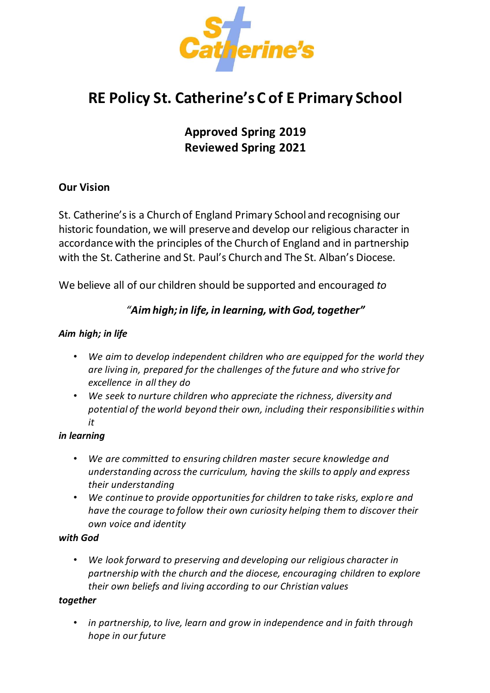

# **RE Policy St. Catherine's C of E Primary School**

**Approved Spring 2019 Reviewed Spring 2021**

## **Our Vision**

St. Catherine's is a Church of England Primary School and recognising our historic foundation, we will preserve and develop our religious character in accordance with the principles of the Church of England and in partnership with the St. Catherine and St. Paul's Church and The St. Alban's Diocese.

We believe all of our children should be supported and encouraged *to* 

## *"Aim high; in life, in learning, with God, together"*

#### *Aim high; in life*

- *We aim to develop independent children who are equipped for the world they are living in, prepared for the challenges of the future and who strive for excellence in all they do*
- *We seek to nurture children who appreciate the richness, diversity and potential of the world beyond their own, including their responsibilities within it*

#### *in learning*

- *We are committed to ensuring children master secure knowledge and understanding across the curriculum, having the skills to apply and express their understanding*
- *We continue to provide opportunities for children to take risks, explore and have the courage to follow their own curiosity helping them to discover their own voice and identity*

#### *with God*

• *We look forward to preserving and developing our religious character in partnership with the church and the diocese, encouraging children to explore their own beliefs and living according to our Christian values*

#### *together*

• *in partnership, to live, learn and grow in independence and in faith through hope in our future*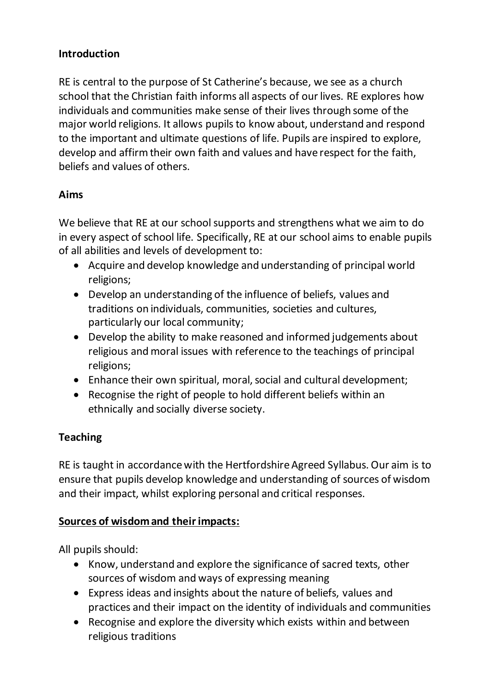# **Introduction**

RE is central to the purpose of St Catherine's because, we see as a church school that the Christian faith informs all aspects of our lives. RE explores how individuals and communities make sense of their lives through some of the major world religions. It allows pupils to know about, understand and respond to the important and ultimate questions of life. Pupils are inspired to explore, develop and affirm their own faith and values and have respect for the faith, beliefs and values of others.

# **Aims**

We believe that RE at our school supports and strengthens what we aim to do in every aspect of school life. Specifically, RE at our school aims to enable pupils of all abilities and levels of development to:

- Acquire and develop knowledge and understanding of principal world religions;
- Develop an understanding of the influence of beliefs, values and traditions on individuals, communities, societies and cultures, particularly our local community;
- Develop the ability to make reasoned and informed judgements about religious and moral issues with reference to the teachings of principal religions;
- Enhance their own spiritual, moral, social and cultural development;
- Recognise the right of people to hold different beliefs within an ethnically and socially diverse society.

# **Teaching**

RE is taught in accordance with the Hertfordshire Agreed Syllabus. Our aim is to ensure that pupils develop knowledge and understanding of sources of wisdom and their impact, whilst exploring personal and critical responses.

## **Sources of wisdom and their impacts:**

All pupils should:

- Know, understand and explore the significance of sacred texts, other sources of wisdom and ways of expressing meaning
- Express ideas and insights about the nature of beliefs, values and practices and their impact on the identity of individuals and communities
- Recognise and explore the diversity which exists within and between religious traditions